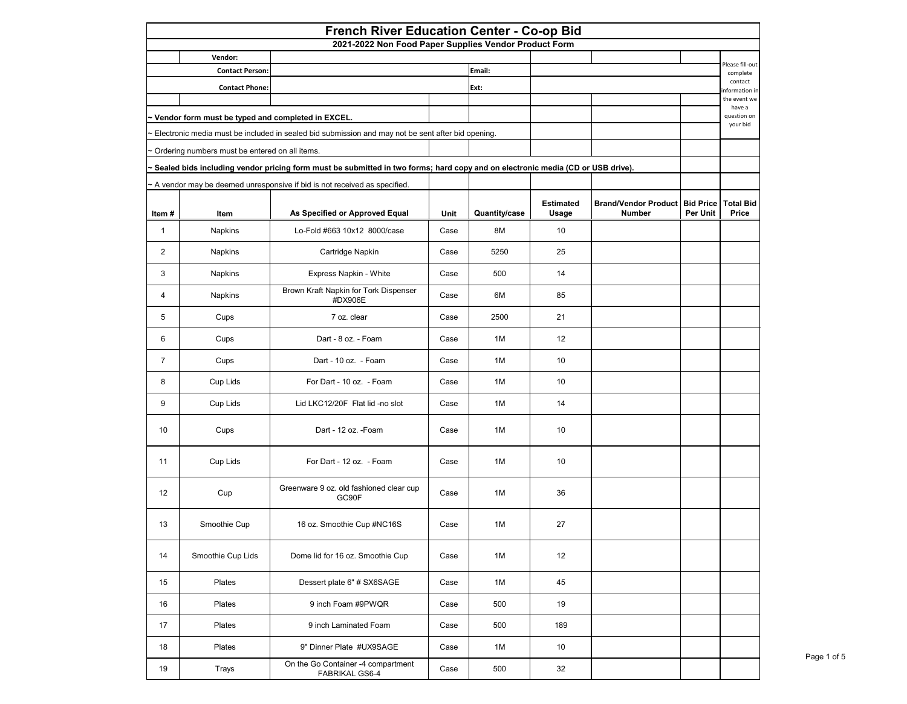|                |                                                   | <b>French River Education Center - Co-op Bid</b>                                                                                                                                                             |             |                      |                                  |                                                        |                 |                                  |
|----------------|---------------------------------------------------|--------------------------------------------------------------------------------------------------------------------------------------------------------------------------------------------------------------|-------------|----------------------|----------------------------------|--------------------------------------------------------|-----------------|----------------------------------|
|                | Vendor:                                           | 2021-2022 Non Food Paper Supplies Vendor Product Form                                                                                                                                                        |             |                      |                                  |                                                        |                 |                                  |
|                | <b>Contact Person:</b>                            |                                                                                                                                                                                                              |             | Email:               |                                  |                                                        |                 | Please fill-out<br>complete      |
|                | <b>Contact Phone:</b>                             |                                                                                                                                                                                                              |             | Ext:                 |                                  |                                                        |                 | contact<br>nformation in         |
|                |                                                   |                                                                                                                                                                                                              |             |                      |                                  |                                                        |                 | the event we<br>have a           |
|                | Vendor form must be typed and completed in EXCEL. |                                                                                                                                                                                                              |             |                      |                                  |                                                        |                 | question on<br>your bid          |
|                |                                                   | Electronic media must be included in sealed bid submission and may not be sent after bid opening.                                                                                                            |             |                      |                                  |                                                        |                 |                                  |
|                | Ordering numbers must be entered on all items.    |                                                                                                                                                                                                              |             |                      |                                  |                                                        |                 |                                  |
|                |                                                   | Sealed bids including vendor pricing form must be submitted in two forms; hard copy and on electronic media (CD or USB drive).<br>- A vendor may be deemed unresponsive if bid is not received as specified. |             |                      |                                  |                                                        |                 |                                  |
| Item#          | Item                                              | As Specified or Approved Equal                                                                                                                                                                               | <b>Unit</b> | <b>Quantity/case</b> | <b>Estimated</b><br><b>Usage</b> | <b>Brand/Vendor Product Bid Price</b><br><b>Number</b> | <b>Per Unit</b> | <b>Total Bid</b><br><b>Price</b> |
| 1              | <b>Napkins</b>                                    | Lo-Fold #663 10x12 8000/case                                                                                                                                                                                 | Case        | 8M                   | 10                               |                                                        |                 |                                  |
| $\overline{2}$ | Napkins                                           | Cartridge Napkin                                                                                                                                                                                             | Case        | 5250                 | 25                               |                                                        |                 |                                  |
| 3              | Napkins                                           | Express Napkin - White                                                                                                                                                                                       | Case        | 500                  | 14                               |                                                        |                 |                                  |
| 4              | <b>Napkins</b>                                    | Brown Kraft Napkin for Tork Dispenser<br>#DX906E                                                                                                                                                             | Case        | 6M                   | 85                               |                                                        |                 |                                  |
| 5              | Cups                                              | 7 oz. clear                                                                                                                                                                                                  | Case        | 2500                 | 21                               |                                                        |                 |                                  |
| 6              | Cups                                              | Dart - 8 oz. - Foam                                                                                                                                                                                          | Case        | 1M                   | 12                               |                                                        |                 |                                  |
| $\overline{7}$ | Cups                                              | Dart - 10 oz. - Foam                                                                                                                                                                                         | Case        | 1M                   | 10                               |                                                        |                 |                                  |
| 8              | Cup Lids                                          | For Dart - 10 oz. - Foam                                                                                                                                                                                     | Case        | 1M                   | 10                               |                                                        |                 |                                  |
| 9              | Cup Lids                                          | Lid LKC12/20F Flat lid -no slot                                                                                                                                                                              | Case        | 1M                   | 14                               |                                                        |                 |                                  |
| 10             | Cups                                              | Dart - 12 oz. - Foam                                                                                                                                                                                         | Case        | 1M                   | 10                               |                                                        |                 |                                  |
| 11             | Cup Lids                                          | For Dart - 12 oz. - Foam                                                                                                                                                                                     | Case        | 1M                   | 10                               |                                                        |                 |                                  |
| 12             | Cup                                               | Greenware 9 oz. old fashioned clear cup<br>GC90F                                                                                                                                                             | Case        | 1M                   | 36                               |                                                        |                 |                                  |
| 13             | Smoothie Cup                                      | 16 oz. Smoothie Cup #NC16S                                                                                                                                                                                   | Case        | 1M                   | 27                               |                                                        |                 |                                  |
| 14             | Smoothie Cup Lids                                 | Dome lid for 16 oz. Smoothie Cup                                                                                                                                                                             | Case        | 1M                   | 12                               |                                                        |                 |                                  |
| 15             | Plates                                            | Dessert plate 6" # SX6SAGE                                                                                                                                                                                   | Case        | 1M                   | 45                               |                                                        |                 |                                  |
| 16             | Plates                                            | 9 inch Foam #9PWQR                                                                                                                                                                                           | Case        | 500                  | 19                               |                                                        |                 |                                  |
| 17             | Plates                                            | 9 inch Laminated Foam                                                                                                                                                                                        | Case        | 500                  | 189                              |                                                        |                 |                                  |
| 18             | Plates                                            | 9" Dinner Plate #UX9SAGE                                                                                                                                                                                     | Case        | 1M                   | 10                               |                                                        |                 |                                  |
| 19             | Trays                                             | On the Go Container -4 compartment<br><b>FABRIKAL GS6-4</b>                                                                                                                                                  | Case        | 500                  | 32                               |                                                        |                 |                                  |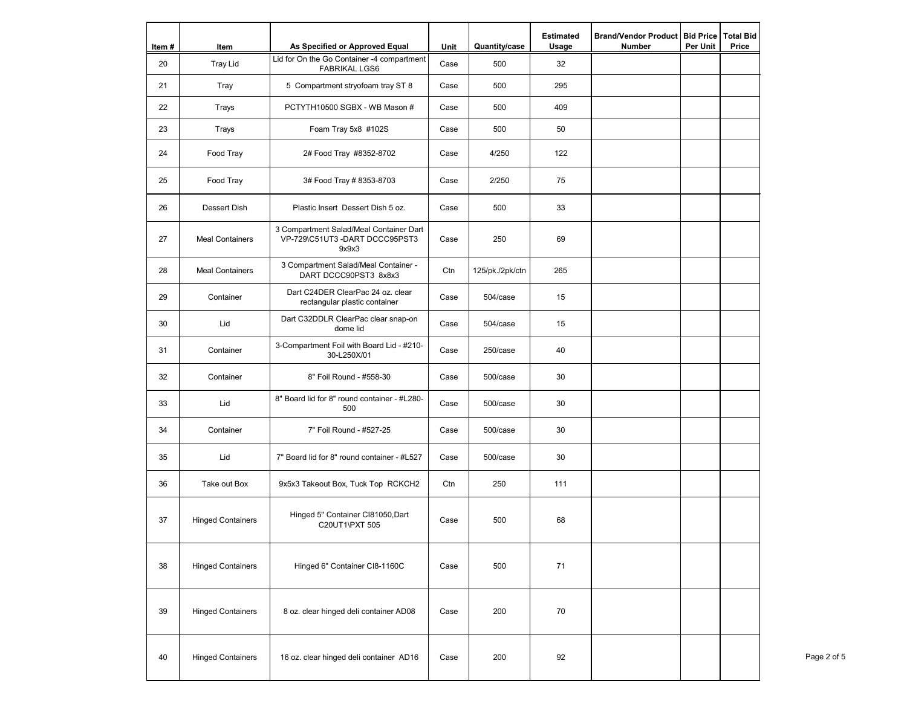|       |                          |                                                                                   |             |                      | <b>Estimated</b> | <b>Brand/Vendor Product</b> | <b>Bid Price</b> | <b>Total Bid</b> |
|-------|--------------------------|-----------------------------------------------------------------------------------|-------------|----------------------|------------------|-----------------------------|------------------|------------------|
| Item# | Item                     | As Specified or Approved Equal<br>Lid for On the Go Container -4 compartment      | <b>Unit</b> | <b>Quantity/case</b> | <b>Usage</b>     | <b>Number</b>               | <b>Per Unit</b>  | <b>Price</b>     |
| 20    | <b>Tray Lid</b>          | <b>FABRIKAL LGS6</b>                                                              | Case        | 500                  | 32               |                             |                  |                  |
| 21    | Tray                     | 5 Compartment stryofoam tray ST 8                                                 | Case        | 500                  | 295              |                             |                  |                  |
| 22    | <b>Trays</b>             | PCTYTH10500 SGBX - WB Mason #                                                     | Case        | 500                  | 409              |                             |                  |                  |
| 23    | <b>Trays</b>             | Foam Tray 5x8 #102S                                                               | Case        | 500                  | 50               |                             |                  |                  |
| 24    | Food Tray                | 2# Food Tray #8352-8702                                                           | Case        | 4/250                | 122              |                             |                  |                  |
| 25    | Food Tray                | 3# Food Tray # 8353-8703                                                          | Case        | 2/250                | 75               |                             |                  |                  |
| 26    | <b>Dessert Dish</b>      | Plastic Insert Dessert Dish 5 oz.                                                 | Case        | 500                  | 33               |                             |                  |                  |
| 27    | <b>Meal Containers</b>   | 3 Compartment Salad/Meal Container Dart<br>VP-729\C51UT3-DART DCCC95PST3<br>9x9x3 | Case        | 250                  | 69               |                             |                  |                  |
| 28    | <b>Meal Containers</b>   | 3 Compartment Salad/Meal Container -<br>DART DCCC90PST3 8x8x3                     | Ctn         | 125/pk./2pk/ctn      | 265              |                             |                  |                  |
| 29    | Container                | Dart C24DER ClearPac 24 oz. clear<br>rectangular plastic container                | Case        | 504/case             | 15               |                             |                  |                  |
| 30    | Lid                      | Dart C32DDLR ClearPac clear snap-on<br>dome lid                                   | Case        | 504/case             | 15               |                             |                  |                  |
| 31    | Container                | 3-Compartment Foil with Board Lid - #210-<br>30-L250X/01                          | Case        | 250/case             | 40               |                             |                  |                  |
| 32    | Container                | 8" Foil Round - #558-30                                                           | Case        | 500/case             | 30               |                             |                  |                  |
| 33    | Lid                      | 8" Board lid for 8" round container - #L280-<br>500                               | Case        | 500/case             | 30               |                             |                  |                  |
| 34    | Container                | 7" Foil Round - #527-25                                                           | Case        | 500/case             | 30               |                             |                  |                  |
| 35    | Lid                      | 7" Board lid for 8" round container - #L527                                       | Case        | 500/case             | 30               |                             |                  |                  |
| 36    | Take out Box             | 9x5x3 Takeout Box, Tuck Top RCKCH2                                                | Ctn         | 250                  | 111              |                             |                  |                  |
| 37    | <b>Hinged Containers</b> | Hinged 5" Container CI81050, Dart<br>C20UT1\PXT 505                               | Case        | 500                  | 68               |                             |                  |                  |
| 38    | <b>Hinged Containers</b> | Hinged 6" Container CI8-1160C                                                     | Case        | 500                  | 71               |                             |                  |                  |
| 39    | <b>Hinged Containers</b> | 8 oz. clear hinged deli container AD08                                            | Case        | 200                  | 70               |                             |                  |                  |
| 40    | <b>Hinged Containers</b> | 16 oz. clear hinged deli container AD16                                           | Case        | 200                  | 92               |                             |                  |                  |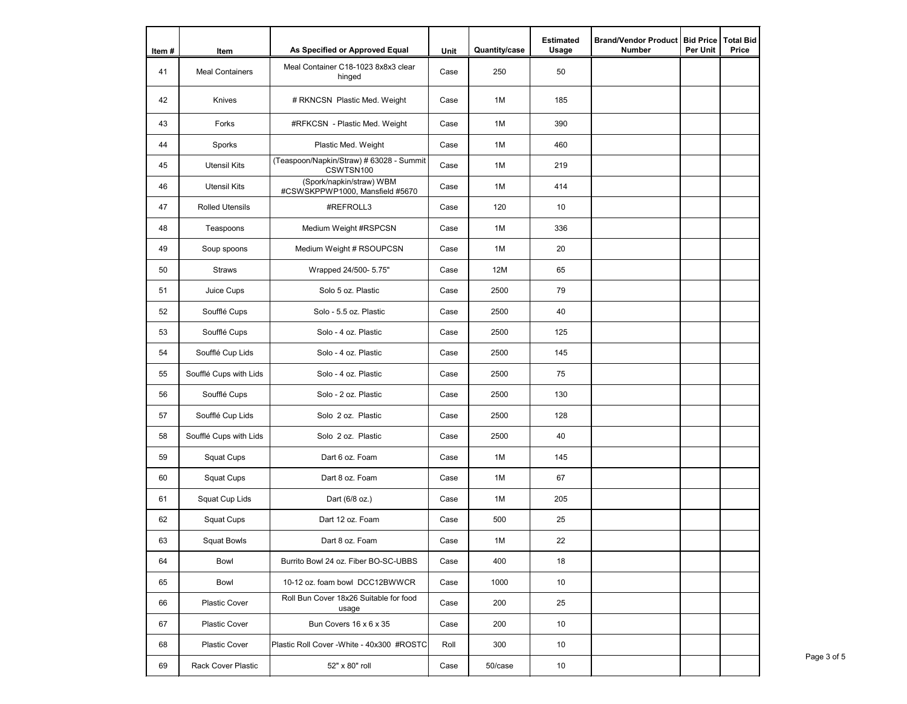| Item# | Item                      | As Specified or Approved Equal                              | <b>Unit</b> | <b>Quantity/case</b> | <b>Estimated</b><br><b>Usage</b> | <b>Brand/Vendor Product</b><br><b>Number</b> | <b>Bid Price</b><br><b>Per Unit</b> | <b>Total Bid</b><br><b>Price</b> |
|-------|---------------------------|-------------------------------------------------------------|-------------|----------------------|----------------------------------|----------------------------------------------|-------------------------------------|----------------------------------|
| 41    | <b>Meal Containers</b>    | Meal Container C18-1023 8x8x3 clear<br>hinged               | Case        | 250                  | 50                               |                                              |                                     |                                  |
| 42    | Knives                    | # RKNCSN Plastic Med. Weight                                | Case        | 1M                   | 185                              |                                              |                                     |                                  |
| 43    | Forks                     | #RFKCSN - Plastic Med. Weight                               | Case        | 1M                   | 390                              |                                              |                                     |                                  |
| 44    | Sporks                    | Plastic Med. Weight                                         | Case        | 1M                   | 460                              |                                              |                                     |                                  |
| 45    | <b>Utensil Kits</b>       | (Teaspoon/Napkin/Straw) # 63028 - Summit<br>CSWTSN100       | Case        | 1M                   | 219                              |                                              |                                     |                                  |
| 46    | <b>Utensil Kits</b>       | (Spork/napkin/straw) WBM<br>#CSWSKPPWP1000, Mansfield #5670 | Case        | 1M                   | 414                              |                                              |                                     |                                  |
| 47    | <b>Rolled Utensils</b>    | #REFROLL3                                                   | Case        | 120                  | 10                               |                                              |                                     |                                  |
| 48    | Teaspoons                 | Medium Weight #RSPCSN                                       | Case        | 1M                   | 336                              |                                              |                                     |                                  |
| 49    | Soup spoons               | Medium Weight # RSOUPCSN                                    | Case        | 1M                   | 20                               |                                              |                                     |                                  |
| 50    | <b>Straws</b>             | Wrapped 24/500- 5.75"                                       | Case        | <b>12M</b>           | 65                               |                                              |                                     |                                  |
| 51    | Juice Cups                | Solo 5 oz. Plastic                                          | Case        | 2500                 | 79                               |                                              |                                     |                                  |
| 52    | Soufflé Cups              | Solo - 5.5 oz. Plastic                                      | Case        | 2500                 | 40                               |                                              |                                     |                                  |
| 53    | Soufflé Cups              | Solo - 4 oz. Plastic                                        | Case        | 2500                 | 125                              |                                              |                                     |                                  |
| 54    | Soufflé Cup Lids          | Solo - 4 oz. Plastic                                        | Case        | 2500                 | 145                              |                                              |                                     |                                  |
| 55    | Soufflé Cups with Lids    | Solo - 4 oz. Plastic                                        | Case        | 2500                 | 75                               |                                              |                                     |                                  |
| 56    | Soufflé Cups              | Solo - 2 oz. Plastic                                        | Case        | 2500                 | 130                              |                                              |                                     |                                  |
| 57    | Soufflé Cup Lids          | Solo 2 oz. Plastic                                          | Case        | 2500                 | 128                              |                                              |                                     |                                  |
| 58    | Soufflé Cups with Lids    | Solo 2 oz. Plastic                                          | Case        | 2500                 | 40                               |                                              |                                     |                                  |
| 59    | <b>Squat Cups</b>         | Dart 6 oz. Foam                                             | Case        | 1M                   | 145                              |                                              |                                     |                                  |
| 60    | <b>Squat Cups</b>         | Dart 8 oz. Foam                                             | Case        | 1M                   | 67                               |                                              |                                     |                                  |
| 61    | Squat Cup Lids            | Dart (6/8 oz.)                                              | Case        | 1M                   | 205                              |                                              |                                     |                                  |
| 62    | <b>Squat Cups</b>         | Dart 12 oz. Foam                                            | Case        | 500                  | 25                               |                                              |                                     |                                  |
| 63    | <b>Squat Bowls</b>        | Dart 8 oz. Foam                                             | Case        | 1M                   | 22                               |                                              |                                     |                                  |
| 64    | Bowl                      | Burrito Bowl 24 oz. Fiber BO-SC-UBBS                        | Case        | 400                  | 18                               |                                              |                                     |                                  |
| 65    | Bowl                      | 10-12 oz. foam bowl DCC12BWWCR                              | Case        | 1000                 | 10                               |                                              |                                     |                                  |
| 66    | Plastic Cover             | Roll Bun Cover 18x26 Suitable for food<br>usage             | Case        | 200                  | 25                               |                                              |                                     |                                  |
| 67    | <b>Plastic Cover</b>      | Bun Covers 16 x 6 x 35                                      | Case        | 200                  | 10                               |                                              |                                     |                                  |
| 68    | <b>Plastic Cover</b>      | Plastic Roll Cover - White - 40x300 #ROSTC                  | Roll        | 300                  | 10                               |                                              |                                     |                                  |
| 69    | <b>Rack Cover Plastic</b> | 52" x 80" roll                                              | Case        | 50/case              | 10                               |                                              |                                     |                                  |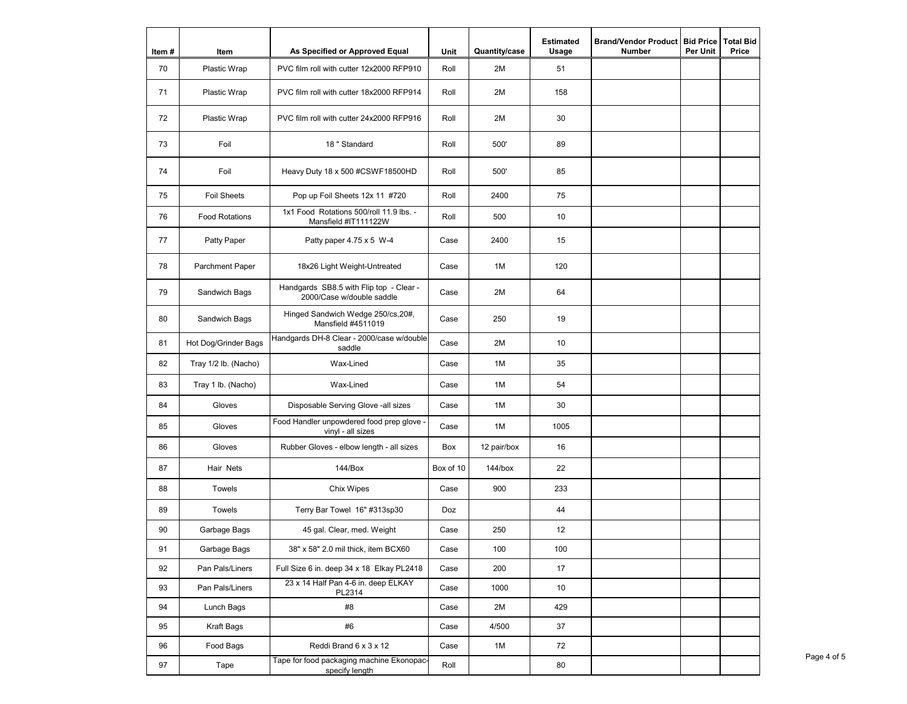| Item# | Item                   | As Specified or Approved Equal                                       | Unit      | Quantity/case | <b>Estimated</b><br><b>Usage</b> | <b>Brand/Vendor Product</b><br><b>Number</b> | <b>Bid Price</b><br><b>Per Unit</b> | <b>Total Bid</b><br><b>Price</b> |
|-------|------------------------|----------------------------------------------------------------------|-----------|---------------|----------------------------------|----------------------------------------------|-------------------------------------|----------------------------------|
| 70    | Plastic Wrap           | PVC film roll with cutter 12x2000 RFP910                             | Roll      | 2M            | 51                               |                                              |                                     |                                  |
| 71    | Plastic Wrap           | PVC film roll with cutter 18x2000 RFP914                             | Roll      | 2M            | 158                              |                                              |                                     |                                  |
| 72    | Plastic Wrap           | PVC film roll with cutter 24x2000 RFP916                             | Roll      | 2M            | 30                               |                                              |                                     |                                  |
| 73    | Foil                   | 18 " Standard                                                        | Roll      | 500'          | 89                               |                                              |                                     |                                  |
| 74    | Foil                   | Heavy Duty 18 x 500 #CSWF18500HD                                     | Roll      | 500'          | 85                               |                                              |                                     |                                  |
| 75    | <b>Foil Sheets</b>     | Pop up Foil Sheets 12x 11 #720                                       | Roll      | 2400          | 75                               |                                              |                                     |                                  |
| 76    | <b>Food Rotations</b>  | 1x1 Food Rotations 500/roll 11.9 lbs. -<br>Mansfield #IT111122W      | Roll      | 500           | 10                               |                                              |                                     |                                  |
| 77    | Patty Paper            | Patty paper $4.75 \times 5$ W-4                                      | Case      | 2400          | 15                               |                                              |                                     |                                  |
| 78    | <b>Parchment Paper</b> | 18x26 Light Weight-Untreated                                         | Case      | 1M            | 120                              |                                              |                                     |                                  |
| 79    | Sandwich Bags          | Handgards SB8.5 with Flip top - Clear -<br>2000/Case w/double saddle | Case      | 2M            | 64                               |                                              |                                     |                                  |
| 80    | Sandwich Bags          | Hinged Sandwich Wedge 250/cs, 20#,<br>Mansfield #4511019             | Case      | 250           | 19                               |                                              |                                     |                                  |
| 81    | Hot Dog/Grinder Bags   | Handgards DH-8 Clear - 2000/case w/double<br>saddle                  | Case      | 2M            | 10                               |                                              |                                     |                                  |
| 82    | Tray 1/2 lb. (Nacho)   | Wax-Lined                                                            | Case      | 1M            | 35                               |                                              |                                     |                                  |
| 83    | Tray 1 lb. (Nacho)     | Wax-Lined                                                            | Case      | 1M            | 54                               |                                              |                                     |                                  |
| 84    | Gloves                 | Disposable Serving Glove -all sizes                                  | Case      | 1M            | 30                               |                                              |                                     |                                  |
| 85    | Gloves                 | Food Handler unpowdered food prep glove -<br>vinyl - all sizes       | Case      | 1M            | 1005                             |                                              |                                     |                                  |
| 86    | Gloves                 | Rubber Gloves - elbow length - all sizes                             | Box       | 12 pair/box   | 16                               |                                              |                                     |                                  |
| 87    | Hair Nets              | 144/Box                                                              | Box of 10 | $144/b$ ox    | 22                               |                                              |                                     |                                  |
| 88    | Towels                 | Chix Wipes                                                           | Case      | 900           | 233                              |                                              |                                     |                                  |
| 89    | Towels                 | Terry Bar Towel 16" #313sp30                                         | Doz       |               | 44                               |                                              |                                     |                                  |
| 90    | Garbage Bags           | 45 gal. Clear, med. Weight                                           | Case      | 250           | 12                               |                                              |                                     |                                  |
| 91    | Garbage Bags           | 38" x 58" 2.0 mil thick, item BCX60                                  | Case      | 100           | 100                              |                                              |                                     |                                  |
| 92    | Pan Pals/Liners        | Full Size 6 in. deep 34 x 18 Elkay PL2418                            | Case      | 200           | 17                               |                                              |                                     |                                  |
| 93    | Pan Pals/Liners        | 23 x 14 Half Pan 4-6 in. deep ELKAY<br>PL2314                        | Case      | 1000          | 10                               |                                              |                                     |                                  |
| 94    | Lunch Bags             | #8                                                                   | Case      | 2M            | 429                              |                                              |                                     |                                  |
| 95    | Kraft Bags             | #6                                                                   | Case      | 4/500         | 37                               |                                              |                                     |                                  |
| 96    | Food Bags              | Reddi Brand 6 x 3 x 12                                               | Case      | 1M            | 72                               |                                              |                                     |                                  |
| 97    | Tape                   | Tape for food packaging machine Ekonopac-<br>specify length          | Roll      |               | 80                               |                                              |                                     |                                  |